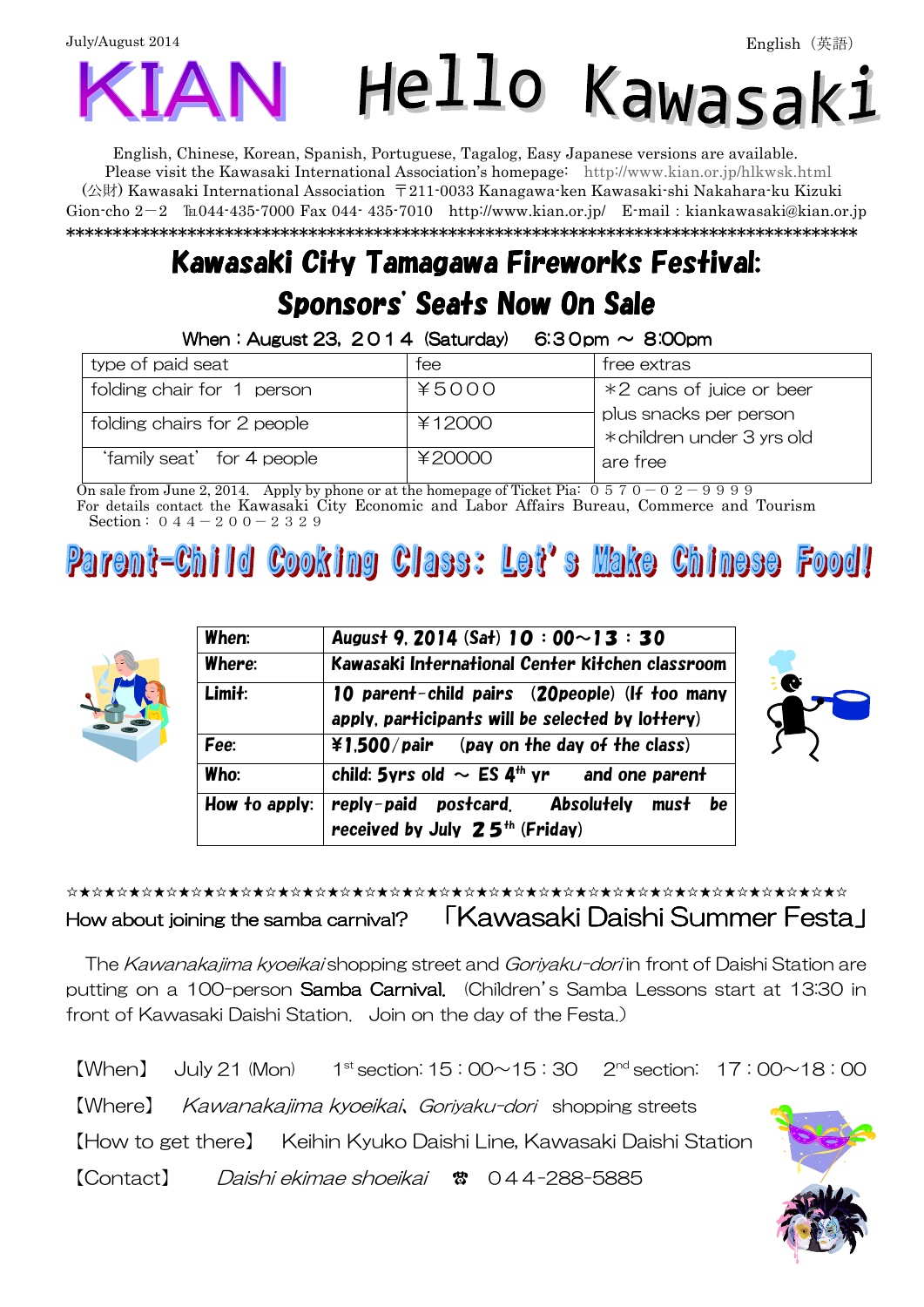# July/August 2014 English(英語)Hello Kawas

English, Chinese, Korean, Spanish, Portuguese, Tagalog, Easy Japanese versions are available. Please visit the Kawasaki International Association's homepage: http://www.kian.or.jp/hlkwsk.html (公財) Kawasaki International Association 〒211-0033 Kanagawa-ken Kawasaki-shi Nakahara-ku Kizuki Gion-cho  $2-2$   $\mathbb{I}$  = 044-435-7000 Fax 044-435-7010 http://www.kian.or.jp/ E-mail: kiankawasaki@kian.or.jp \*\*\*\*\*\*\*\*\*\*\*\*\*\*\*\*\*\*\*\*\*\*\*\*\*\*\*\*\*\*\*\*\*\*\*\*\*\*\*\*\*\*\*\*\*\*\*\*\*\*\*\*\*\*\*\*\*\*\*\*\*\*\*\*\*\*\*\*\*\*\*\*\*\*\*\*\*\*\*\*\*\*\*\*\*

# Kawasaki City Tamagawa Fireworks Festival: Sponsors' Seats Now On Sale

When: August 23,  $2014$  (Saturday)  $6:30$ pm  $\sim 8:00$ pm

| type of paid seat           | tee    | tree extras                                          |
|-----------------------------|--------|------------------------------------------------------|
| folding chair for 1 person  | ¥5000  | *2 cans of juice or beer                             |
| folding chairs for 2 people | ¥12000 | plus snacks per person<br>* children under 3 yrs old |
| 'family seat' for 4 people  | ¥20000 | are tree                                             |

On sale from June 2, 2014. Apply by phone or at the homepage of Ticket Pia:  $0.570 - 0.2 - 9.999$ For details contact the Kawasaki City Economic and Labor Affairs Bureau, Commerce and Tourism Section :  $0.44 - 2.00 - 2.329$ 

### **Cooking Class: Let's Make Chinese Food!**  $\omega$



| When:  | August 9, 2014 (Sat) 10 : 00 ~ 13 : 30                                                                  |  |  |  |  |  |
|--------|---------------------------------------------------------------------------------------------------------|--|--|--|--|--|
| Where: | Kawasaki International Center Kitchen classroom                                                         |  |  |  |  |  |
| Limit: | 10 parent-child pairs (20 people) (If too many<br>apply, participants will be selected by lottery)      |  |  |  |  |  |
| Fee:   | $\angle$ 1.500/pair (pay on the day of the class)                                                       |  |  |  |  |  |
| Who:   | child: 5yrs old $\sim$ ES 4 <sup>th</sup> yr and one parent                                             |  |  |  |  |  |
|        | How to apply: $ $ reply-paid postcard. Absolutely must be<br>received by July 25 <sup>th</sup> (Friday) |  |  |  |  |  |



### ☆★☆★☆★☆★☆★☆★☆★☆★☆★☆★☆★☆★☆★☆★☆★☆★☆★☆★☆★☆★☆★☆★☆★☆★☆★☆★☆★☆★☆★☆★☆★☆ How about joining the samba carnival? 「Kawasaki Daishi Summer Festa」

The Kawanakajima kyoejkai shopping street and Goriyaku-dori in front of Daishi Station are putting on a 100-person Samba Carnival. (Children's Samba Lessons start at 13:30 in front of Kawasaki Daishi Station. Join on the day of the Festa.)

 $[When]$  July 21 (Mon)  $1^{\text{st}}$  section:  $15:00 \sim 15:30$  2<sup>nd</sup> section:  $17:00 \sim 18:00$ 【Where】 Kawanakajima kyoeikai、Goriyaku-dori shopping streets 【How to get there】 Keihin Kyuko Daishi Line, Kawasaki Daishi Station 【Contact】 Daishi ekimae shoeikai ● 044-288-5885

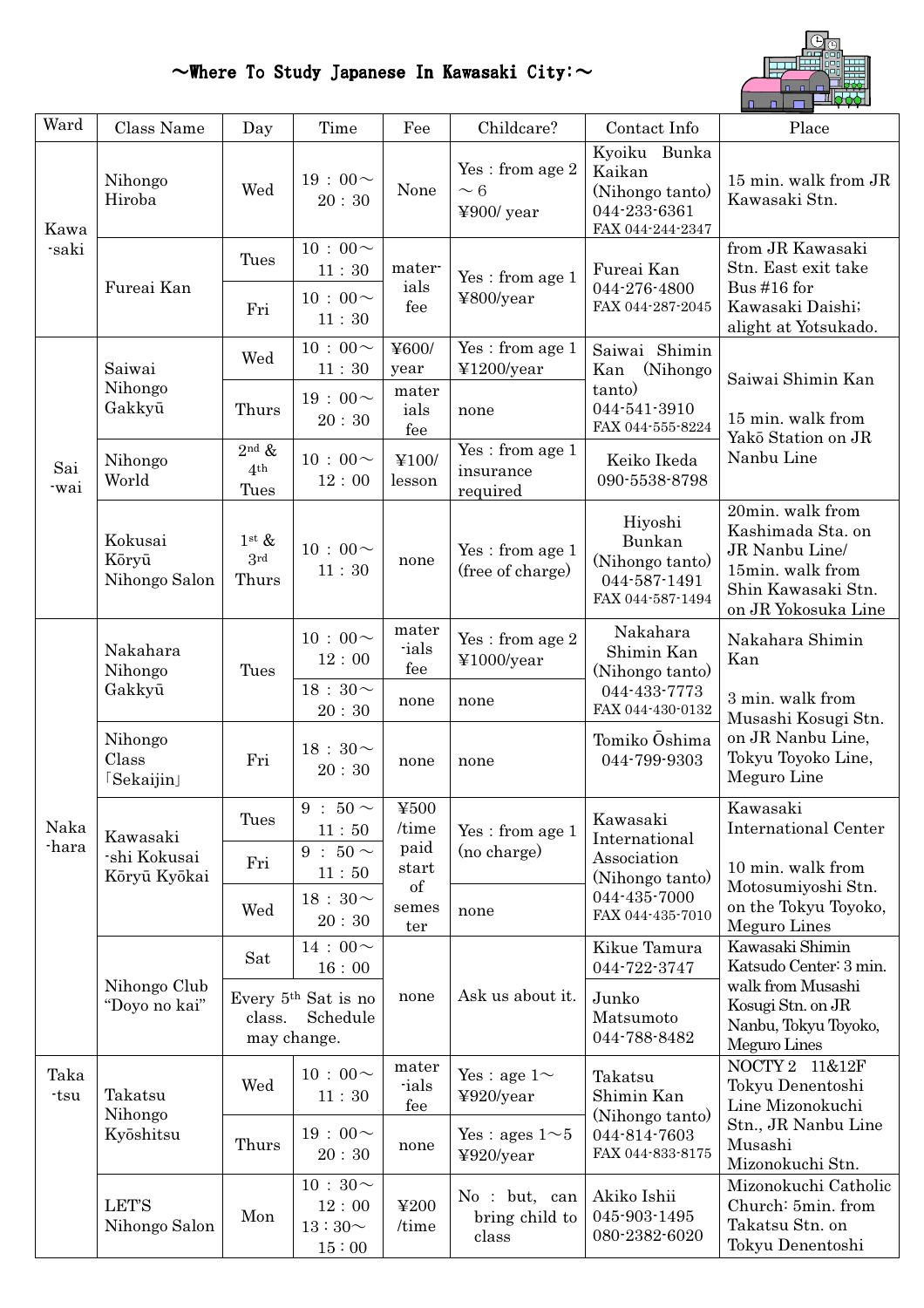### $\sim$ Where To Study Japanese In Kawasaki City: $\sim$



| Ward          | Class Name                               | Day                                         | Time                                          | Fee                                                                                                                                                                                                                                                                                                                                                                                                                                                                                                                                                     | Childcare?                                                      | Contact Info                                                                         | Place                                                                                                                       |
|---------------|------------------------------------------|---------------------------------------------|-----------------------------------------------|---------------------------------------------------------------------------------------------------------------------------------------------------------------------------------------------------------------------------------------------------------------------------------------------------------------------------------------------------------------------------------------------------------------------------------------------------------------------------------------------------------------------------------------------------------|-----------------------------------------------------------------|--------------------------------------------------------------------------------------|-----------------------------------------------------------------------------------------------------------------------------|
| Kawa<br>-saki | Nihongo<br>Hiroba                        | Wed                                         | 19:00 $\sim$<br>20:30                         | None                                                                                                                                                                                                                                                                                                                                                                                                                                                                                                                                                    | Yes: from age 2<br>$\sim 6$<br>¥900/ year                       | Kyoiku Bunka<br>Kaikan<br>(Nihongo tanto)<br>044-233-6361<br>FAX 044-244-2347        | 15 min. walk from JR<br>Kawasaki Stn.                                                                                       |
|               | Fureai Kan                               | Tues                                        | $10:00\!\sim$<br>11:30                        | mater-<br>ials<br>fee                                                                                                                                                                                                                                                                                                                                                                                                                                                                                                                                   | Yes: from age 1<br>¥800/year                                    | Fureai Kan<br>044-276-4800<br>FAX 044-287-2045                                       | from JR Kawasaki<br>Stn. East exit take<br>Bus #16 for                                                                      |
|               |                                          | Fri                                         | 10 : 00 $\sim$<br>11:30                       |                                                                                                                                                                                                                                                                                                                                                                                                                                                                                                                                                         |                                                                 |                                                                                      | Kawasaki Daishi;<br>alight at Yotsukado.                                                                                    |
| Sai<br>-wai   | Saiwai<br>Nihongo<br>Gakkyū              | Wed                                         | $10:00\!\sim$<br>$11\div 30$                  | ¥600/<br>year                                                                                                                                                                                                                                                                                                                                                                                                                                                                                                                                           | Yes: from age 1<br>¥1200/year                                   | Saiwai Shimin<br>Kan<br>(Nihongo)                                                    | Saiwai Shimin Kan<br>15 min. walk from<br>Yakō Station on JR<br>Nanbu Line                                                  |
|               |                                          | Thurs                                       | $19:00 \sim$<br>20:30                         | mater<br>ials<br>fee                                                                                                                                                                                                                                                                                                                                                                                                                                                                                                                                    | none                                                            | tanto)<br>044-541-3910<br>FAX 044-555-8224                                           |                                                                                                                             |
|               | Nihongo<br>World                         | $2nd$ &<br>4 <sup>th</sup><br>Tues          | $10:00 \sim$<br>12:00                         | ¥100/<br>lesson                                                                                                                                                                                                                                                                                                                                                                                                                                                                                                                                         | $\mathop{\mathrm{Yes}}$ : from age $1$<br>insurance<br>required | Keiko Ikeda<br>090-5538-8798                                                         |                                                                                                                             |
|               | Kokusai<br>Kōryū<br>Nihongo Salon        | $1^{\rm st} \&$<br>3 <sup>rd</sup><br>Thurs | $10:00 \sim$<br>11:30                         | none                                                                                                                                                                                                                                                                                                                                                                                                                                                                                                                                                    | Yes : from age 1<br>(free of charge)                            | Hiyoshi<br>Bunkan<br>(Nihongo tanto)<br>044 587 1491<br>FAX 044-587-1494             | 20min. walk from<br>Kashimada Sta. on<br>JR Nanbu Line/<br>15min. walk from<br>Shin Kawasaki Stn.<br>on JR Yokosuka Line    |
|               | Nakahara<br>Nihongo<br>Gakkyū            | Tues                                        | $10:00 \sim$<br>12:00                         | mater<br>ials<br>fee                                                                                                                                                                                                                                                                                                                                                                                                                                                                                                                                    | Yes : from age $2$<br>¥1000/year                                | Nakahara<br>Shimin Kan<br>Kan<br>(Nihongo tanto)<br>044 433 7773<br>FAX 044-430-0132 | Nakahara Shimin                                                                                                             |
|               |                                          |                                             | $18:30 \sim$<br>20:30                         | none                                                                                                                                                                                                                                                                                                                                                                                                                                                                                                                                                    | none                                                            |                                                                                      | 3 min. walk from<br>Musashi Kosugi Stn.                                                                                     |
|               | Nihongo<br>Class<br>[Sekaijin]           | Fri                                         | 18 : 30 $\sim$<br>20:30                       | none                                                                                                                                                                                                                                                                                                                                                                                                                                                                                                                                                    | none                                                            | Tomiko Oshima<br>044-799-9303                                                        | on JR Nanbu Line,<br>Tokyu Toyoko Line,<br>Meguro Line                                                                      |
| Naka          | Kawasaki<br>-shi Kokusai<br>Kōryū Kyōkai | Tues                                        | $9:50 \sim$<br>11:50                          | $\text{\#}500$<br>/time<br>paid<br>start<br>$% \left( \left( \mathcal{A}\right) \right) ^{1}\left( \mathcal{A}\right) ^{1}\left( \mathcal{A}\right) ^{1}\left( \mathcal{A}\right) ^{1}\left( \mathcal{A}\right) ^{1}\left( \mathcal{A}\right) ^{1}\left( \mathcal{A}\right) ^{1}\left( \mathcal{A}\right) ^{1}\left( \mathcal{A}\right) ^{1}\left( \mathcal{A}\right) ^{1}\left( \mathcal{A}\right) ^{1}\left( \mathcal{A}\right) ^{1}\left( \mathcal{A}\right) ^{1}\left( \mathcal{A}\right) ^{1}\left( \mathcal{A}\right) ^{1}\left($<br>semes<br>ter | Yes: from age 1<br>(no charge)                                  | Kawasaki<br>International<br>Association<br>(Nihongo tanto)                          | Kawasaki<br><b>International Center</b>                                                                                     |
| -hara         |                                          | Fri                                         | 9 : $50 \sim$<br>11:50                        |                                                                                                                                                                                                                                                                                                                                                                                                                                                                                                                                                         |                                                                 |                                                                                      | 10 min. walk from<br>Motosumiyoshi Stn.<br>on the Tokyu Toyoko,<br>Meguro Lines                                             |
|               |                                          | Wed                                         | $18:30 \sim$<br>20:30                         |                                                                                                                                                                                                                                                                                                                                                                                                                                                                                                                                                         | none                                                            | 044-435-7000<br>FAX 044-435-7010                                                     |                                                                                                                             |
|               | Nihongo Club<br>"Doyo no kai"            | Sat                                         | $14:00 \sim$<br>16:00                         |                                                                                                                                                                                                                                                                                                                                                                                                                                                                                                                                                         | Ask us about it.                                                | Kikue Tamura<br>044-722-3747                                                         | Kawasaki Shimin<br>Katsudo Center: 3 min.<br>walk from Musashi<br>Kosugi Stn. on JR<br>Nanbu, Tokyu Toyoko,<br>Meguro Lines |
|               |                                          | class.<br>may change.                       | Every 5 <sup>th</sup> Sat is no<br>Schedule   | none                                                                                                                                                                                                                                                                                                                                                                                                                                                                                                                                                    |                                                                 | Junko<br>Matsumoto<br>044-788-8482                                                   |                                                                                                                             |
| Taka<br>-tsu  | Takatsu<br>Nihongo<br>Kyōshitsu          | Wed                                         | $10:00\!\sim$<br>11:30                        | mater<br>ials<br>fee                                                                                                                                                                                                                                                                                                                                                                                                                                                                                                                                    | Yes : age $1\sim$<br>¥920/year                                  | Takatsu<br>Shimin Kan<br>(Nihongo tanto)                                             | NOCTY 2 11&12F<br>Tokyu Denentoshi<br>Line Mizonokuchi                                                                      |
|               |                                          | Thurs                                       | $19:00 \sim$<br>20:30                         | none                                                                                                                                                                                                                                                                                                                                                                                                                                                                                                                                                    | Yes : ages $1 \sim 5$<br>¥920/year                              | 044-814-7603<br>FAX 044-833-8175                                                     | Stn., JR Nanbu Line<br>Musashi<br>Mizonokuchi Stn.                                                                          |
|               | <b>LET'S</b><br>Nihongo Salon            | Mon                                         | $10:30 \sim$<br>12:00<br>$13:30\sim$<br>15:00 | ¥200<br>/time                                                                                                                                                                                                                                                                                                                                                                                                                                                                                                                                           | No : but, can<br>bring child to<br>class                        | Akiko Ishii<br>045-903-1495<br>080-2382-6020                                         | Mizonokuchi Catholic<br>Church: 5min. from<br>Takatsu Stn. on<br>Tokyu Denentoshi                                           |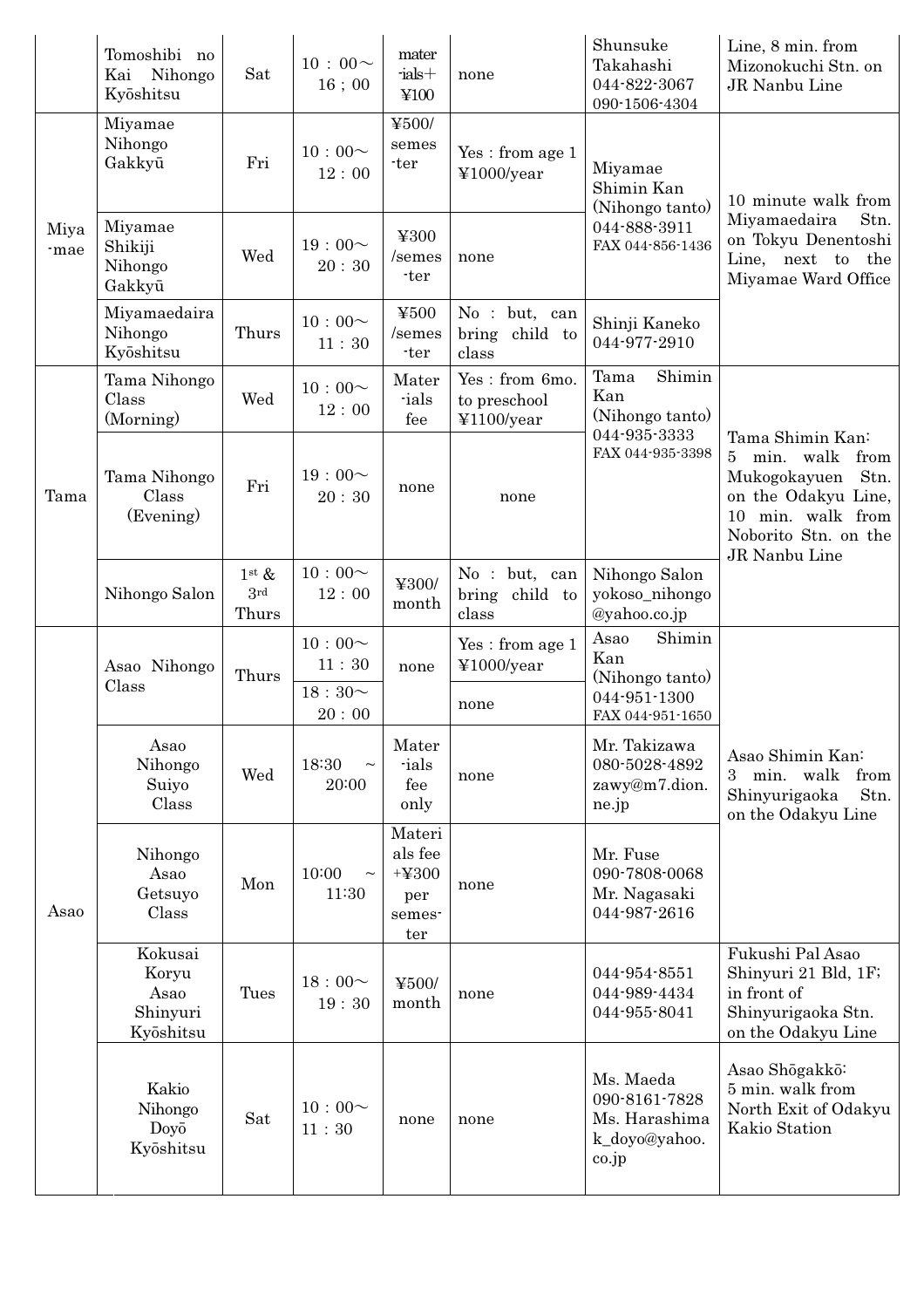|              | Tomoshibi no<br>Kai Nihongo<br>Kyōshitsu          | Sat                                        | $10:00 \sim$<br>$16$ ; $00$                      | mater<br>$-$ ials $+$<br>¥100                        | none                                         | Shunsuke<br>Takahashi<br>044-822-3067<br>090-1506-4304                       | Line, 8 min. from<br>Mizonokuchi Stn. on<br>JR Nanbu Line                                                                                                         |
|--------------|---------------------------------------------------|--------------------------------------------|--------------------------------------------------|------------------------------------------------------|----------------------------------------------|------------------------------------------------------------------------------|-------------------------------------------------------------------------------------------------------------------------------------------------------------------|
| Miya<br>-mae | Miyamae<br>Nihongo<br>Gakkyū                      | Fri                                        | $10:00 \sim$<br>12:00                            | ¥500/<br>semes<br>-ter                               | Yes: from age 1<br>¥1000/year                | Miyamae<br>Shimin Kan<br>(Nihongo tanto)<br>044-888-3911<br>FAX 044-856-1436 | 10 minute walk from<br>Miyamaedaira<br>Stn.<br>on Tokyu Denentoshi<br>Line, next to the<br>Miyamae Ward Office                                                    |
|              | Miyamae<br>Shikiji<br>Nihongo<br>Gakkyū           | Wed                                        | 19:00~<br>20:30                                  | ¥300<br>/semes<br>-ter                               | none                                         |                                                                              |                                                                                                                                                                   |
|              | Miyamaedaira<br>Nihongo<br>Kyōshitsu              | Thurs                                      | $10:00 \sim$<br>11:30                            | ¥500<br>/semes<br>-ter                               | No : but, can<br>bring child to<br>class     | Shinji Kaneko<br>044-977-2910                                                |                                                                                                                                                                   |
| Tama         | Tama Nihongo<br>Class<br>(Morning)                | Wed                                        | $10:00 \sim$<br>12:00                            | Mater<br>ials<br>fee                                 | Yes: from 6mo.<br>to preschool<br>¥1100/year | Shimin<br>Tama<br>Kan<br>(Nihongo tanto)                                     | Tama Shimin Kan:<br>min. walk<br>from<br>5 <sup>5</sup><br>Mukogokayuen Stn.<br>on the Odakyu Line,<br>10 min. walk from<br>Noborito Stn. on the<br>JR Nanbu Line |
|              | Tama Nihongo<br>Class<br>(Evening)                | Fri                                        | 19:00~<br>20:30                                  | none                                                 | none                                         | 044-935-3333<br>FAX 044-935-3398                                             |                                                                                                                                                                   |
|              | Nihongo Salon                                     | $1^{\rm st}$ &<br>3 <sup>rd</sup><br>Thurs | $10:00 \sim$<br>12:00                            | ¥300/<br>month                                       | No : but, can<br>bring child to<br>class     | Nihongo Salon<br>yokoso_nihongo<br>@yahoo.co.jp                              |                                                                                                                                                                   |
| Asao         | Asao Nihongo<br>Class                             | Thurs                                      | $10:00 \sim$<br>11:30<br>$18:30^{\sim}$<br>20:00 | none                                                 | Yes: from age 1<br>¥1000/year<br>none        | Shimin<br>Asao<br>Kan<br>(Nihongo tanto)<br>044-951-1300<br>FAX 044-951-1650 | Asao Shimin Kan:<br>from<br>min. walk<br>3<br>Shinyurigaoka<br>Stn.<br>on the Odakyu Line                                                                         |
|              | Asao<br>Nihongo<br>Suiyo<br>Class                 | Wed                                        | 18:30<br>$\thicksim$<br>20:00                    | $\operatorname{Mater}$<br>-ials<br>fee<br>only       | none                                         | Mr. Takizawa<br>080-5028-4892<br>zawy@m7.dion.<br>ne.jp                      |                                                                                                                                                                   |
|              | Nihongo<br>Asao<br>Getsuyo<br>Class               | Mon                                        | 10:00<br>$\thicksim$<br>11:30                    | Materi<br>als fee<br>$+4300$<br>per<br>semes-<br>ter | none                                         | Mr. Fuse<br>090-7808-0068<br>Mr. Nagasaki<br>044-987-2616                    |                                                                                                                                                                   |
|              | Kokusai<br>Koryu<br>Asao<br>Shinyuri<br>Kyōshitsu | Tues                                       | 18:00~<br>19:30                                  | ¥500/<br>month                                       | none                                         | 044-954-8551<br>044-989-4434<br>044-955-8041                                 | Fukushi Pal Asao<br>Shinyuri 21 Bld, 1F;<br>in front of<br>Shinyurigaoka Stn.<br>on the Odakyu Line                                                               |
|              | Kakio<br>Nihongo<br>Doyō<br>Kyōshitsu             | Sat                                        | $10:00 \sim$<br>11:30                            | none                                                 | none                                         | Ms. Maeda<br>090-8161-7828<br>Ms. Harashima<br>k_doyo@yahoo.<br>co.jp        | Asao Shōgakkō:<br>5 min. walk from<br>North Exit of Odakyu<br>Kakio Station                                                                                       |